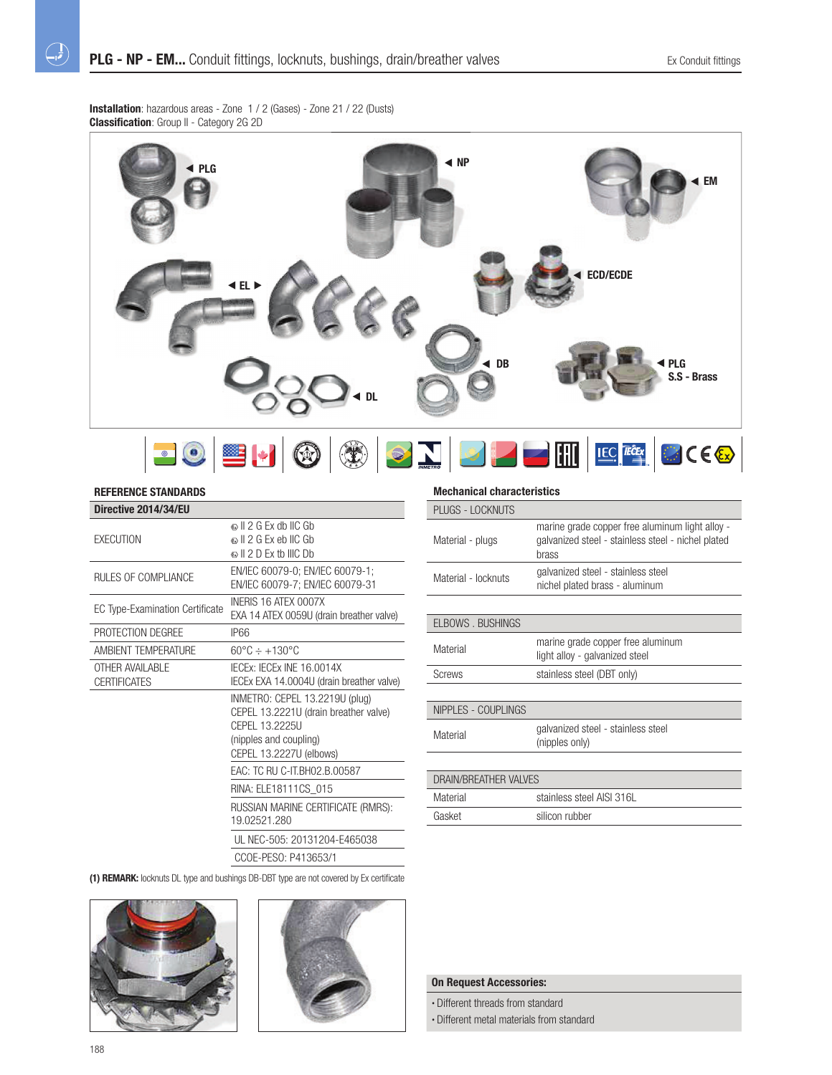**Installation**: hazardous areas - Zone 1 / 2 (Gases) - Zone 21 / 22 (Dusts) **Classification**: Group II - Category 2G 2D



## **REFERENCE STANDARDS**

 $\bigoplus$ 

| Directive 2014/34/EU                   |                                                                                                                                                |
|----------------------------------------|------------------------------------------------------------------------------------------------------------------------------------------------|
| <b>FXFCUTION</b>                       | © II 2 G Fx db IIC Gb<br>© II 2 G Ex eb IIC Gb<br>$\circ$ II 2 D Fx th IIIC Dh                                                                 |
| <b>RULES OF COMPLIANCE</b>             | EN/IEC 60079-0; EN/IEC 60079-1;<br>EN/IEC 60079-7: EN/IEC 60079-31                                                                             |
| <b>EC Type-Examination Certificate</b> | INFRIS 16 ATFX 0007X<br>EXA 14 ATEX 0059U (drain breather valve)                                                                               |
| PROTECTION DEGREE                      | IP66                                                                                                                                           |
| <b>AMBIENT TEMPERATURE</b>             | $60^{\circ}$ C $\div$ +130 °C                                                                                                                  |
| OTHER AVAILABLE<br><b>CERTIFICATES</b> | IFCEX: IFCEX INF 16.0014X<br>IECEx EXA 14.0004U (drain breather valve)                                                                         |
|                                        | INMETRO: CEPEL 13.2219U (plug)<br>CEPEL 13.2221U (drain breather valve)<br>CFPFI 13.2225U<br>(nipples and coupling)<br>CEPEL 13.2227U (elbows) |
|                                        | EAC: TC RU C-IT.BH02.B.00587                                                                                                                   |
|                                        | RINA: ELE18111CS 015                                                                                                                           |
|                                        | RUSSIAN MARINE CERTIFICATE (RMRS):<br>19.02521.280                                                                                             |
|                                        | UL NEC-505: 20131204-E465038                                                                                                                   |

CCOE-PESO: P413653/1

**(1) REMARK:** locknuts DL type and bushings DB-DBT type are not covered by Ex certificate





# **Mechanical characteristics**

| PLUGS - LOCKNUTS        |                                                                                                                |
|-------------------------|----------------------------------------------------------------------------------------------------------------|
| Material - plugs        | marine grade copper free aluminum light alloy -<br>galvanized steel - stainless steel - nichel plated<br>brass |
| Material - locknuts     | galvanized steel - stainless steel<br>nichel plated brass - aluminum                                           |
|                         |                                                                                                                |
| <b>ELBOWS, BUSHINGS</b> |                                                                                                                |
| Material                | marine grade copper free aluminum<br>light alloy - galvanized steel                                            |
| Screws                  | stainless steel (DBT only)                                                                                     |
|                         |                                                                                                                |
| NIPPLES - COUPLINGS     |                                                                                                                |
| Material                | galvanized steel - stainless steel<br>(nipples only)                                                           |

| DRAIN/BREATHER VALVES |                           |  |
|-----------------------|---------------------------|--|
| Material              | stainless steel AISI 316L |  |
| Gasket                | silicon rubber            |  |

### **On Request Accessories:**

• Different threads from standard

• Different metal materials from standard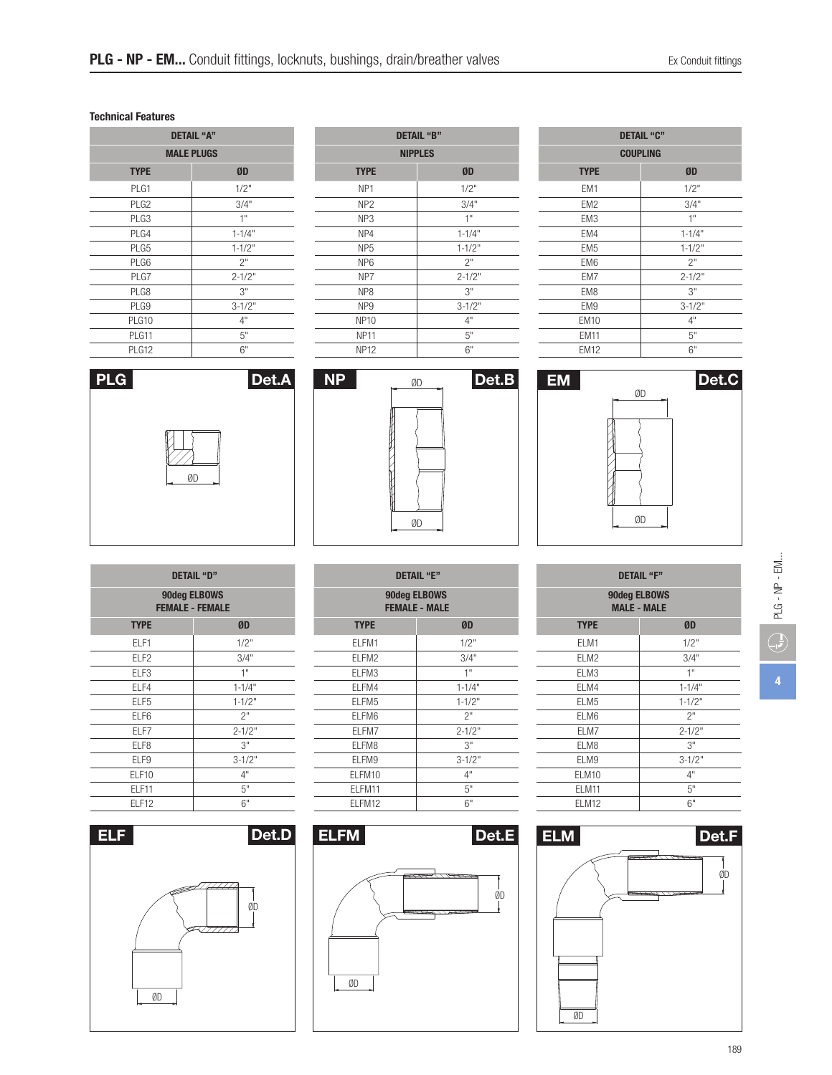## **Technical Features**

| <b>DETAIL "A"</b> |            |  |
|-------------------|------------|--|
| <b>MALE PLUGS</b> |            |  |
| <b>TYPE</b>       | ØD         |  |
| PLG1              | 1/2"       |  |
| PLG <sub>2</sub>  | 3/4"       |  |
| PLG3              | 1"         |  |
| PLG4              | $1 - 1/4"$ |  |
| PLG5              | $1 - 1/2"$ |  |
| PLG6              | 2"         |  |
| PLG7              | $2 - 1/2"$ |  |
| PLG8              | 3"         |  |
| PLG9              | $3 - 1/2"$ |  |
| PLG10             | 4"         |  |
| PLG11             | 5"         |  |
| PLG12             | 6"         |  |

| <b>DETAIL "B"</b> |            |  |
|-------------------|------------|--|
| <b>NIPPLES</b>    |            |  |
| <b>TYPE</b>       | ØD         |  |
| NP <sub>1</sub>   | 1/2"       |  |
| NP <sub>2</sub>   | 3/4"       |  |
| NP <sub>3</sub>   | 1"         |  |
| NP4               | $1 - 1/4"$ |  |
| NP <sub>5</sub>   | $1 - 1/2"$ |  |
| NP <sub>6</sub>   | 2"         |  |
| NP7               | $2 - 1/2"$ |  |
| NP <sub>8</sub>   | 3"         |  |
| NP <sub>9</sub>   | $3 - 1/2"$ |  |
| <b>NP10</b>       | 4"         |  |
| <b>NP11</b>       | 5"         |  |
| <b>NP12</b>       | 6"         |  |

| <b>DETAIL "C"</b> |  |  |
|-------------------|--|--|
| <b>COUPLING</b>   |  |  |
| ØD                |  |  |
| 1/2"              |  |  |
| 3/4"              |  |  |
| 1"                |  |  |
| $1 - 1/4"$        |  |  |
| $1 - 1/2"$        |  |  |
| 2"                |  |  |
| $2 - 1/2"$        |  |  |
| 3"                |  |  |
| $3 - 1/2"$        |  |  |
| 4"                |  |  |
| 5"                |  |  |
| 6"                |  |  |
|                   |  |  |







| DETAIL "D"                             |            |  |
|----------------------------------------|------------|--|
| 90deg ELBOWS<br><b>FEMALE - FEMALE</b> |            |  |
| <b>TYPE</b>                            | ØD         |  |
| ELF1                                   | 1/2"       |  |
| ELF <sub>2</sub>                       | 3/4"       |  |
| ELF <sub>3</sub>                       | 1"         |  |
| ELF4                                   | $1 - 1/4"$ |  |
| FLF <sub>5</sub>                       | $1 - 1/2"$ |  |
| ELF6                                   | 2"         |  |
| ELF7                                   | $2 - 1/2"$ |  |
| ELF8                                   | 3"         |  |
| ELF9                                   | $3 - 1/2"$ |  |
| <b>FLF10</b>                           | 4"         |  |
| <b>FLF11</b>                           | 5"         |  |
| ELF12                                  | 6"         |  |

ØD







|            | <b>DETAIL "F"</b>                  |            | ÷                              |  |
|------------|------------------------------------|------------|--------------------------------|--|
|            | 90deg ELBOWS<br><b>MALE - MALE</b> |            | $\cong$<br>$\mathbf{I}$<br>PLG |  |
| ØD         | <b>TYPE</b>                        | ØD         |                                |  |
| 1/2"       | ELM1                               | 1/2"       |                                |  |
| 3/4"       | ELM2                               | 3/4"       |                                |  |
| 1"         | ELM3                               | 1"         |                                |  |
| $1 - 1/4"$ | ELM4                               | $1 - 1/4"$ | 4                              |  |
| $1 - 1/2"$ | ELM <sub>5</sub>                   | $1 - 1/2"$ |                                |  |
| 2"         | ELM6                               | 2"         |                                |  |
| $2 - 1/2"$ | ELM7                               | $2 - 1/2"$ |                                |  |
| 3"         | ELM8                               | 3"         |                                |  |
| $3 - 1/2"$ | ELM9                               | $3 - 1/2"$ |                                |  |
| 4"         | ELM10                              | 4"         |                                |  |
| 5"         | ELM11                              | 5"         |                                |  |
| 6"         | ELM12                              | 6"         |                                |  |

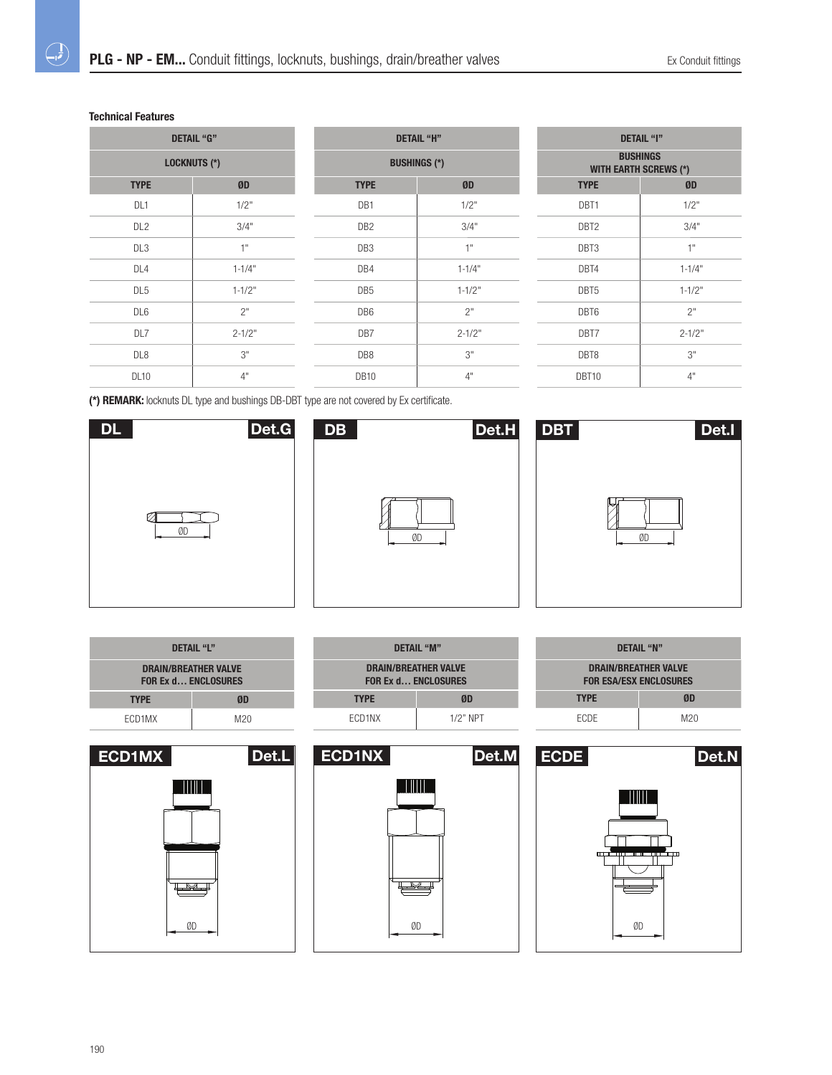# **Technical Features**

 $\bigoplus$ 

| <b>DETAIL "G"</b>   |            |  |
|---------------------|------------|--|
| <b>LOCKNUTS (*)</b> |            |  |
| <b>TYPE</b>         | ØD         |  |
| DL <sub>1</sub>     | 1/2"       |  |
| DL <sub>2</sub>     | 3/4"       |  |
| DL <sub>3</sub>     | 1"         |  |
| DL <sub>4</sub>     | $1 - 1/4"$ |  |
| DL <sub>5</sub>     | $1 - 1/2"$ |  |
| DL <sub>6</sub>     | 2"         |  |
| DL7                 | $2 - 1/2"$ |  |
| DL <sub>8</sub>     | 3"         |  |
| <b>DL10</b>         | 4"         |  |

| <b>DETAIL "H"</b>   |            |  |
|---------------------|------------|--|
| <b>BUSHINGS (*)</b> |            |  |
| <b>TYPE</b>         | ØD         |  |
| DB1                 | 1/2"       |  |
| DB <sub>2</sub>     | 3/4"       |  |
| DB <sub>3</sub>     | 1"         |  |
| DB4                 | $1 - 1/4"$ |  |
| DB <sub>5</sub>     | $1 - 1/2"$ |  |
| DB <sub>6</sub>     | 2"         |  |
| DB7                 | $2 - 1/2"$ |  |
| DB8                 | 3"         |  |
| <b>DB10</b>         | 4"         |  |

| <b>DETAIL "I"</b>                               |            |
|-------------------------------------------------|------------|
| <b>BUSHINGS</b><br><b>WITH EARTH SCREWS (*)</b> |            |
| <b>TYPE</b>                                     | ØD         |
| DBT1                                            | 1/2"       |
| DBT <sub>2</sub>                                | 3/4"       |
| DBT3                                            | 1"         |
| DBT4                                            | $1 - 1/4"$ |
| DBT5                                            | $1 - 1/2"$ |
| DBT6                                            | 2"         |
| DBT7                                            | $2 - 1/2"$ |
| DBT8                                            | 3"         |
| DBT10                                           | 4"         |

**(\*) REMARK:** locknuts DL type and bushings DB-DBT type are not covered by Ex certificate.







| DETAIL "L"                                                |     |
|-----------------------------------------------------------|-----|
| <b>DRAIN/BREATHER VALVE</b><br><b>FOR Ex d ENCLOSURES</b> |     |
| <b>TYPE</b>                                               | ØD  |
| ECD1MX                                                    | M20 |







| DETAIL "N"                                                   |     |  |  |  |
|--------------------------------------------------------------|-----|--|--|--|
| <b>DRAIN/BREATHER VALVE</b><br><b>FOR ESA/ESX ENCLOSURES</b> |     |  |  |  |
| <b>TYPE</b>                                                  | ØD  |  |  |  |
| <b>FCDF</b>                                                  | M20 |  |  |  |
|                                                              |     |  |  |  |